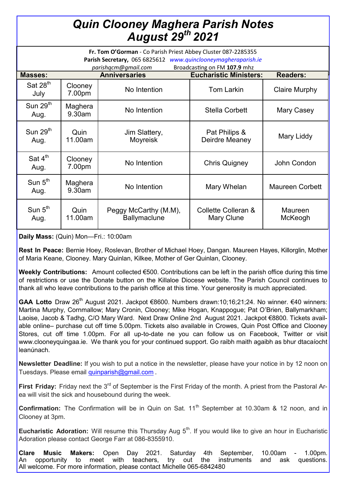## *Quin Clooney Maghera Parish Notes August 29th 2021*

| Fr. Tom O'Gorman - Co Parish Priest Abbey Cluster 087-2285355<br>Parish Secretary, 065 6825612 www.quinclooneymagheraparish.ie<br>parishqcm@gmail.com<br>Broadcasting on FM 107.9 mhz |                   |                                              |                                   |                        |
|---------------------------------------------------------------------------------------------------------------------------------------------------------------------------------------|-------------------|----------------------------------------------|-----------------------------------|------------------------|
| <b>Masses:</b>                                                                                                                                                                        |                   | <b>Anniversaries</b>                         | <b>Eucharistic Ministers:</b>     | <b>Readers:</b>        |
| Sat $28th$<br>July                                                                                                                                                                    | Clooney<br>7.00pm | No Intention                                 | <b>Tom Larkin</b>                 | <b>Claire Murphy</b>   |
| Sun $29th$<br>Aug.                                                                                                                                                                    | Maghera<br>9.30am | No Intention                                 | <b>Stella Corbett</b>             | Mary Casey             |
| Sun $29th$<br>Aug.                                                                                                                                                                    | Quin<br>11.00am   | Jim Slattery,<br>Moyreisk                    | Pat Philips &<br>Deirdre Meaney   | Mary Liddy             |
| Sat $4^{\text{th}}$<br>Aug.                                                                                                                                                           | Clooney<br>7.00pm | No Intention                                 | <b>Chris Quigney</b>              | John Condon            |
| Sun $5th$<br>Aug.                                                                                                                                                                     | Maghera<br>9.30am | No Intention                                 | Mary Whelan                       | <b>Maureen Corbett</b> |
| Sun $5th$<br>Aug.                                                                                                                                                                     | Quin<br>11.00am   | Peggy McCarthy (M.M),<br><b>Ballymaclune</b> | Collette Colleran &<br>Mary Clune | Maureen<br>McKeogh     |

**Daily Mass:** (Quin) Mon—Fri.: 10:00am

**Rest In Peace:** Bernie Hoey, Roslevan, Brother of Michael Hoey, Dangan. Maureen Hayes, Killorglin, Mother of Maria Keane, Clooney. Mary Quinlan, Kilkee, Mother of Ger Quinlan, Clooney.

**Weekly Contributions:** Amount collected €500. Contributions can be left in the parish office during this time of restrictions or use the Donate button on the Killaloe Diocese website. The Parish Council continues to thank all who leave contributions to the parish office at this time. Your generosity is much appreciated.

GAA Lotto Draw 26<sup>th</sup> August 2021. Jackpot €8600. Numbers drawn:10;16;21;24. No winner. €40 winners: Martina Murphy, Cornmallow; Mary Cronin, Clooney; Mike Hogan, Knappogue; Pat O'Brien, Ballymarkham; Laoise, Jacob & Tadhg, C/O Mary Ward. Next Draw Online 2nd August 2021. Jackpot €8800. Tickets available online– purchase cut off time 5.00pm. Tickets also available in Crowes, Quin Post Office and Clooney Stores, cut off time 1.00pm. For all up-to-date ne you can follow us on Facebook, Twitter or visit www.clooneyquingaa.ie. We thank you for your continued support. Go raibh maith agaibh as bhur dtacaíocht leanúnach.

**Newsletter Deadline:** If you wish to put a notice in the newsletter, please have your notice in by 12 noon on Tuesdays. Please email [quinparish@gmail.com](mailto:quinparish@gmail.com) .

**First Friday:** Friday next the 3<sup>rd</sup> of September is the First Friday of the month. A priest from the Pastoral Area will visit the sick and housebound during the week.

**Confirmation:** The Confirmation will be in Quin on Sat. 11<sup>th</sup> September at 10.30am & 12 noon, and in Clooney at 3pm.

**Eucharistic Adoration:** Will resume this Thursday Aug 5<sup>th</sup>. If you would like to give an hour in Eucharistic Adoration please contact George Farr at 086-8355910.

**Clare Music Makers:** Open Day 2021. Saturday 4th September, 10.00am - 1.00pm. An opportunity to meet with teachers, try out the instruments and ask questions. All welcome. For more information, please contact Michelle 065-6842480